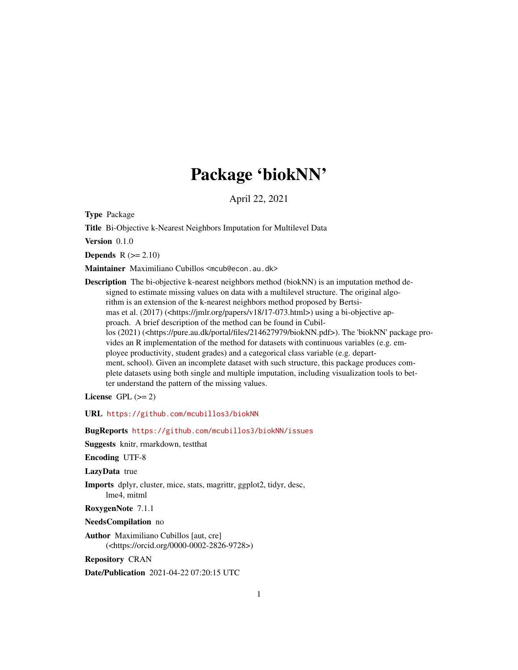# Package 'biokNN'

April 22, 2021

Type Package

Title Bi-Objective k-Nearest Neighbors Imputation for Multilevel Data

Version 0.1.0

**Depends**  $R$  ( $>= 2.10$ )

Maintainer Maximiliano Cubillos <mcub@econ.au.dk>

Description The bi-objective k-nearest neighbors method (biokNN) is an imputation method designed to estimate missing values on data with a multilevel structure. The original algorithm is an extension of the k-nearest neighbors method proposed by Bertsimas et al. (2017) (<https://jmlr.org/papers/v18/17-073.html>) using a bi-objective approach. A brief description of the method can be found in Cubillos (2021) (<https://pure.au.dk/portal/files/214627979/biokNN.pdf>). The 'biokNN' package provides an R implementation of the method for datasets with continuous variables (e.g. employee productivity, student grades) and a categorical class variable (e.g. department, school). Given an incomplete dataset with such structure, this package produces complete datasets using both single and multiple imputation, including visualization tools to better understand the pattern of the missing values.

License GPL  $(>= 2)$ 

URL <https://github.com/mcubillos3/biokNN>

BugReports <https://github.com/mcubillos3/biokNN/issues>

Suggests knitr, rmarkdown, testthat

Encoding UTF-8

LazyData true

Imports dplyr, cluster, mice, stats, magrittr, ggplot2, tidyr, desc, lme4, mitml

RoxygenNote 7.1.1

NeedsCompilation no

Author Maximiliano Cubillos [aut, cre] (<https://orcid.org/0000-0002-2826-9728>)

Repository CRAN

Date/Publication 2021-04-22 07:20:15 UTC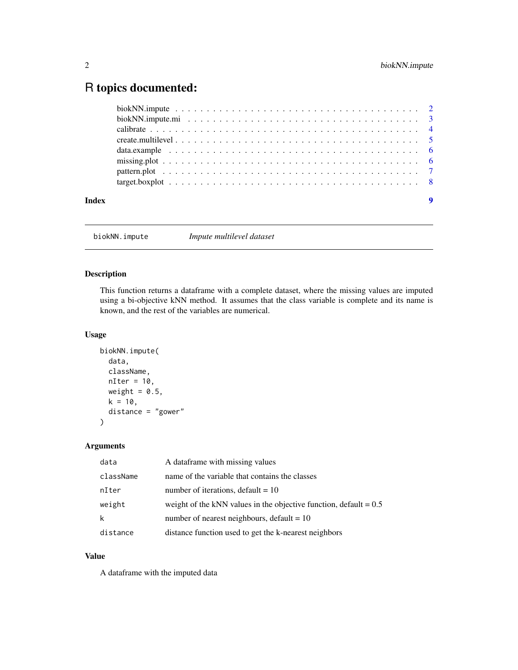## <span id="page-1-0"></span>R topics documented:

| Index | $\boldsymbol{9}$ |  |
|-------|------------------|--|

biokNN.impute *Impute multilevel dataset*

#### Description

This function returns a dataframe with a complete dataset, where the missing values are imputed using a bi-objective kNN method. It assumes that the class variable is complete and its name is known, and the rest of the variables are numerical.

#### Usage

```
biokNN.impute(
  data,
  className,
 nIter = 10,weight = 0.5,
 k = 10,
  distance = "gower"
)
```
#### Arguments

| data      | A dataframe with missing values                                     |
|-----------|---------------------------------------------------------------------|
| className | name of the variable that contains the classes                      |
| nIter     | number of iterations, default = $10$                                |
| weight    | weight of the kNN values in the objective function, default $= 0.5$ |
| k         | number of nearest neighbours, default $= 10$                        |
| distance  | distance function used to get the k-nearest neighbors               |

#### Value

A dataframe with the imputed data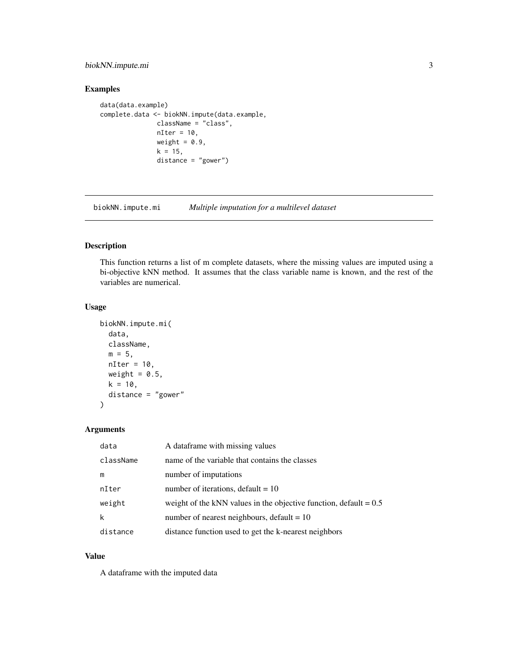#### <span id="page-2-0"></span>biokNN.impute.mi 3

#### Examples

```
data(data.example)
complete.data <- biokNN.impute(data.example,
              className = "class",
              nIter = 10,weight = 0.9,
              k = 15,
               distance = "gower")
```
biokNN.impute.mi *Multiple imputation for a multilevel dataset*

#### Description

This function returns a list of m complete datasets, where the missing values are imputed using a bi-objective kNN method. It assumes that the class variable name is known, and the rest of the variables are numerical.

#### Usage

```
biokNN.impute.mi(
  data,
  className,
  m = 5,nIter = 10,
  weight = 0.5,
  k = 10,
  distance = "gower"
\mathcal{L}
```
#### Arguments

| data      | A data frame with missing values                                    |
|-----------|---------------------------------------------------------------------|
| className | name of the variable that contains the classes                      |
| m         | number of imputations                                               |
| nIter     | number of iterations, default = $10$                                |
| weight    | weight of the kNN values in the objective function, default $= 0.5$ |
| k         | number of nearest neighbours, default $= 10$                        |
| distance  | distance function used to get the k-nearest neighbors               |

#### Value

A dataframe with the imputed data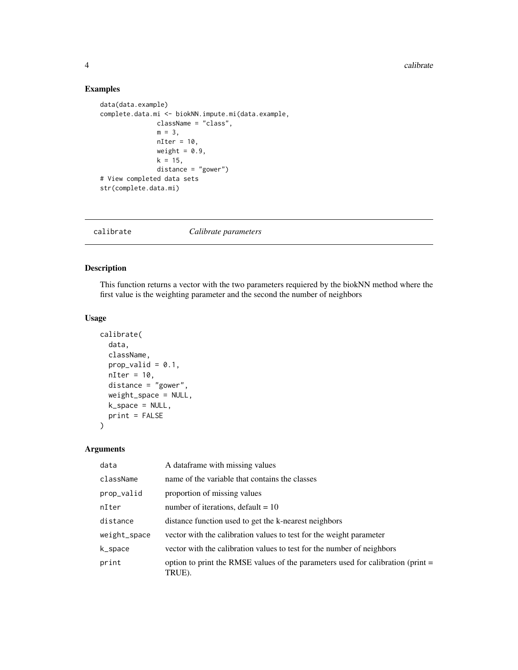#### Examples

```
data(data.example)
complete.data.mi <- biokNN.impute.mi(data.example,
               className = "class",
               m = 3,
               nIter = 10,weight = 0.9,
               k = 15,
               distance = "gower")
# View completed data sets
str(complete.data.mi)
```
calibrate *Calibrate parameters*

#### Description

This function returns a vector with the two parameters requiered by the biokNN method where the first value is the weighting parameter and the second the number of neighbors

#### Usage

```
calibrate(
  data,
  className,
 prop\_valid = 0.1,
 nIter = 10,distance = "gower",
 weight_space = NULL,
 k_space = NULL,
 print = FALSE
)
```
#### Arguments

| data         | A dataframe with missing values                                                             |
|--------------|---------------------------------------------------------------------------------------------|
| className    | name of the variable that contains the classes                                              |
| prop_valid   | proportion of missing values                                                                |
| nIter        | number of iterations, default = $10$                                                        |
| distance     | distance function used to get the k-nearest neighbors                                       |
| weight_space | vector with the calibration values to test for the weight parameter                         |
| k_space      | vector with the calibration values to test for the number of neighbors                      |
| print        | option to print the RMSE values of the parameters used for calibration (print $=$<br>TRUE). |

<span id="page-3-0"></span>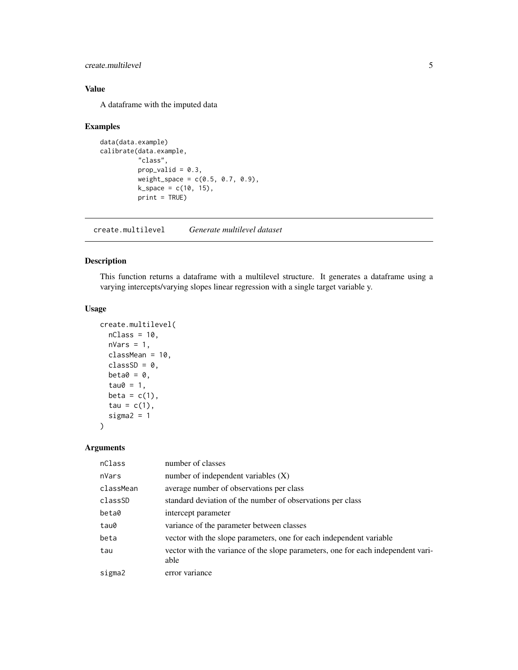#### <span id="page-4-0"></span>create.multilevel 5

#### Value

A dataframe with the imputed data

#### Examples

```
data(data.example)
calibrate(data.example,
          "class",
          prop\_valid = 0.3,
          weight\_space = c(0.5, 0.7, 0.9),k_space = c(10, 15),
          print = TRUE)
```
create.multilevel *Generate multilevel dataset*

#### Description

This function returns a dataframe with a multilevel structure. It generates a dataframe using a varying intercepts/varying slopes linear regression with a single target variable y.

#### Usage

```
create.multilevel(
  nClass = 10,
 nVars = 1,
  classMean = 10,
  classSD = 0,
 beta = 0,
  tau\theta = 1,
  beta = c(1),
  tau = c(1),
  sigma2 = 1)
```
### Arguments

| nClass    | number of classes                                                                |
|-----------|----------------------------------------------------------------------------------|
| nVars     | number of independent variables $(X)$                                            |
| classMean | average number of observations per class                                         |
| classSD   | standard deviation of the number of observations per class                       |
| beta0     | intercept parameter                                                              |
| tau0      | variance of the parameter between classes                                        |
| beta      | vector with the slope parameters, one for each independent variable              |
| tau       | vector with the variance of the slope parameters, one for each independent vari- |
|           | able                                                                             |
| sigma2    | error variance                                                                   |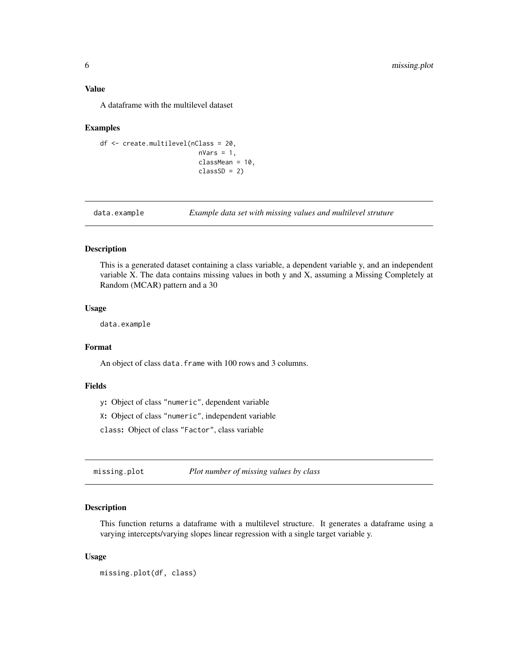#### <span id="page-5-0"></span>Value

A dataframe with the multilevel dataset

#### Examples

```
df <- create.multilevel(nClass = 20,
                          nVars = 1,
                          classMean = 10,
                          classSD = 2)
```
data.example *Example data set with missing values and multilevel struture*

#### Description

This is a generated dataset containing a class variable, a dependent variable y, and an independent variable X. The data contains missing values in both y and X, assuming a Missing Completely at Random (MCAR) pattern and a 30

#### Usage

data.example

#### Format

An object of class data.frame with 100 rows and 3 columns.

#### Fields

y: Object of class "numeric", dependent variable

X: Object of class "numeric", independent variable

class: Object of class "Factor", class variable

missing.plot *Plot number of missing values by class*

#### Description

This function returns a dataframe with a multilevel structure. It generates a dataframe using a varying intercepts/varying slopes linear regression with a single target variable y.

#### Usage

missing.plot(df, class)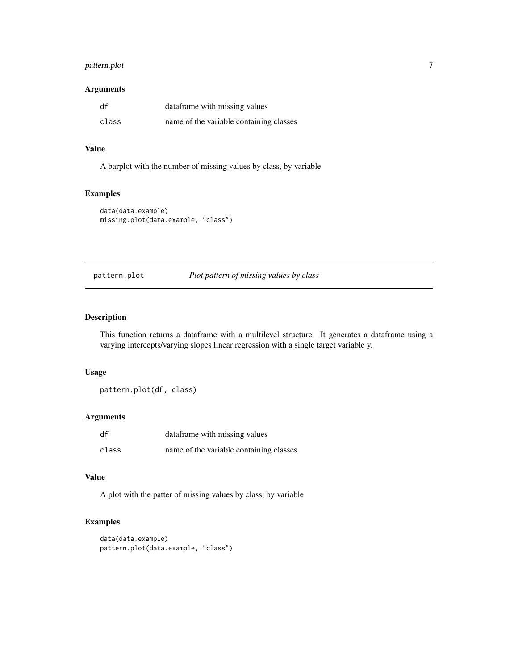#### <span id="page-6-0"></span>pattern.plot 7

#### Arguments

| df    | dataframe with missing values           |
|-------|-----------------------------------------|
| class | name of the variable containing classes |

#### Value

A barplot with the number of missing values by class, by variable

#### Examples

```
data(data.example)
missing.plot(data.example, "class")
```
#### pattern.plot *Plot pattern of missing values by class*

#### Description

This function returns a dataframe with a multilevel structure. It generates a dataframe using a varying intercepts/varying slopes linear regression with a single target variable y.

#### Usage

pattern.plot(df, class)

#### Arguments

| df    | dataframe with missing values           |
|-------|-----------------------------------------|
| class | name of the variable containing classes |

#### Value

A plot with the patter of missing values by class, by variable

#### Examples

```
data(data.example)
pattern.plot(data.example, "class")
```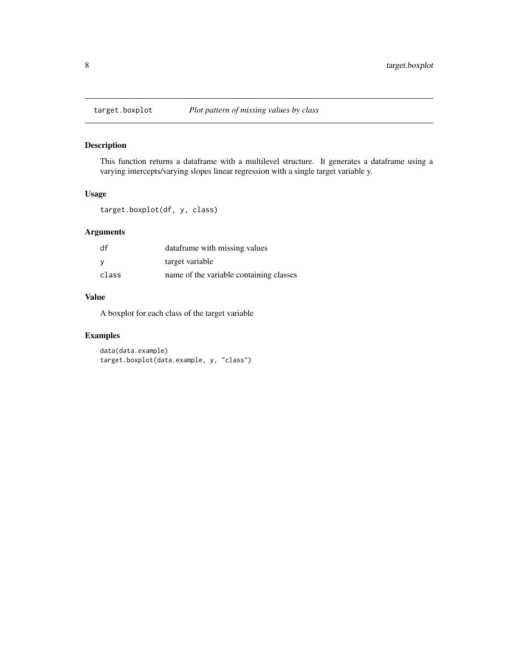<span id="page-7-0"></span>

#### Description

This function returns a dataframe with a multilevel structure. It generates a dataframe using a varying intercepts/varying slopes linear regression with a single target variable y.

#### Usage

```
target.boxplot(df, y, class)
```
#### Arguments

| df    | dataframe with missing values           |
|-------|-----------------------------------------|
| - V   | target variable                         |
| class | name of the variable containing classes |

#### Value

A boxplot for each class of the target variable

#### Examples

data(data.example) target.boxplot(data.example, y, "class")